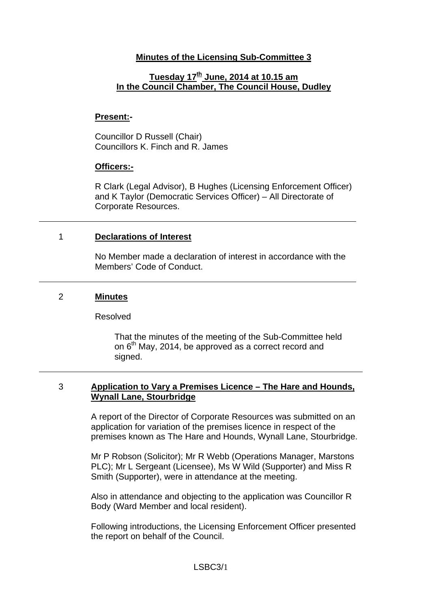## **Minutes of the Licensing Sub-Committee 3**

# **Tuesday 17th June, 2014 at 10.15 am In the Council Chamber, The Council House, Dudley**

### **Present:-**

Councillor D Russell (Chair) Councillors K. Finch and R. James

#### **Officers:-**

R Clark (Legal Advisor), B Hughes (Licensing Enforcement Officer) and K Taylor (Democratic Services Officer) – All Directorate of Corporate Resources.

### 1 **Declarations of Interest**

No Member made a declaration of interest in accordance with the Members' Code of Conduct.

#### 2 **Minutes**

#### Resolved

That the minutes of the meeting of the Sub-Committee held on  $6<sup>th</sup>$  May, 2014, be approved as a correct record and signed.

### 3 **Application to Vary a Premises Licence – The Hare and Hounds, Wynall Lane, Stourbridge**

A report of the Director of Corporate Resources was submitted on an application for variation of the premises licence in respect of the premises known as The Hare and Hounds, Wynall Lane, Stourbridge.

Mr P Robson (Solicitor); Mr R Webb (Operations Manager, Marstons PLC); Mr L Sergeant (Licensee), Ms W Wild (Supporter) and Miss R Smith (Supporter), were in attendance at the meeting.

Also in attendance and objecting to the application was Councillor R Body (Ward Member and local resident).

Following introductions, the Licensing Enforcement Officer presented the report on behalf of the Council.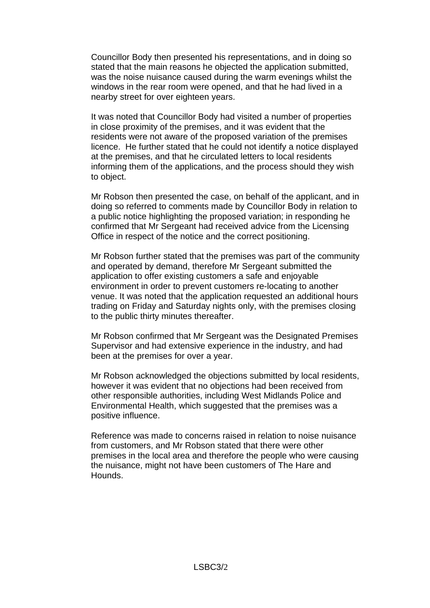Councillor Body then presented his representations, and in doing so stated that the main reasons he objected the application submitted, was the noise nuisance caused during the warm evenings whilst the windows in the rear room were opened, and that he had lived in a nearby street for over eighteen years.

It was noted that Councillor Body had visited a number of properties in close proximity of the premises, and it was evident that the residents were not aware of the proposed variation of the premises licence. He further stated that he could not identify a notice displayed at the premises, and that he circulated letters to local residents informing them of the applications, and the process should they wish to object.

Mr Robson then presented the case, on behalf of the applicant, and in doing so referred to comments made by Councillor Body in relation to a public notice highlighting the proposed variation; in responding he confirmed that Mr Sergeant had received advice from the Licensing Office in respect of the notice and the correct positioning.

Mr Robson further stated that the premises was part of the community and operated by demand, therefore Mr Sergeant submitted the application to offer existing customers a safe and enjoyable environment in order to prevent customers re-locating to another venue. It was noted that the application requested an additional hours trading on Friday and Saturday nights only, with the premises closing to the public thirty minutes thereafter.

Mr Robson confirmed that Mr Sergeant was the Designated Premises Supervisor and had extensive experience in the industry, and had been at the premises for over a year.

Mr Robson acknowledged the objections submitted by local residents, however it was evident that no objections had been received from other responsible authorities, including West Midlands Police and Environmental Health, which suggested that the premises was a positive influence.

Reference was made to concerns raised in relation to noise nuisance from customers, and Mr Robson stated that there were other premises in the local area and therefore the people who were causing the nuisance, might not have been customers of The Hare and Hounds.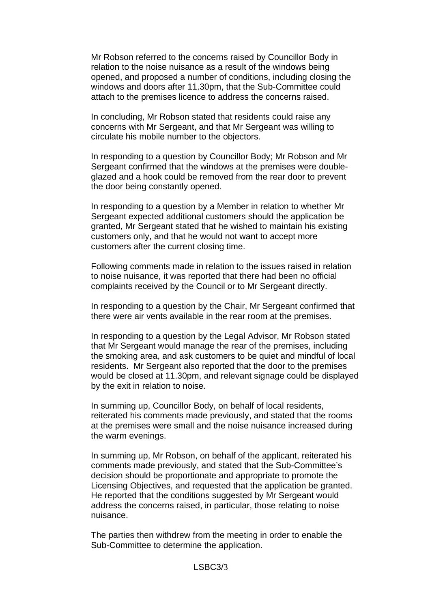Mr Robson referred to the concerns raised by Councillor Body in relation to the noise nuisance as a result of the windows being opened, and proposed a number of conditions, including closing the windows and doors after 11.30pm, that the Sub-Committee could attach to the premises licence to address the concerns raised.

In concluding, Mr Robson stated that residents could raise any concerns with Mr Sergeant, and that Mr Sergeant was willing to circulate his mobile number to the objectors.

In responding to a question by Councillor Body; Mr Robson and Mr Sergeant confirmed that the windows at the premises were doubleglazed and a hook could be removed from the rear door to prevent the door being constantly opened.

In responding to a question by a Member in relation to whether Mr Sergeant expected additional customers should the application be granted, Mr Sergeant stated that he wished to maintain his existing customers only, and that he would not want to accept more customers after the current closing time.

Following comments made in relation to the issues raised in relation to noise nuisance, it was reported that there had been no official complaints received by the Council or to Mr Sergeant directly.

In responding to a question by the Chair, Mr Sergeant confirmed that there were air vents available in the rear room at the premises.

In responding to a question by the Legal Advisor, Mr Robson stated that Mr Sergeant would manage the rear of the premises, including the smoking area, and ask customers to be quiet and mindful of local residents. Mr Sergeant also reported that the door to the premises would be closed at 11.30pm, and relevant signage could be displayed by the exit in relation to noise.

In summing up, Councillor Body, on behalf of local residents, reiterated his comments made previously, and stated that the rooms at the premises were small and the noise nuisance increased during the warm evenings.

In summing up, Mr Robson, on behalf of the applicant, reiterated his comments made previously, and stated that the Sub-Committee's decision should be proportionate and appropriate to promote the Licensing Objectives, and requested that the application be granted. He reported that the conditions suggested by Mr Sergeant would address the concerns raised, in particular, those relating to noise nuisance.

The parties then withdrew from the meeting in order to enable the Sub-Committee to determine the application.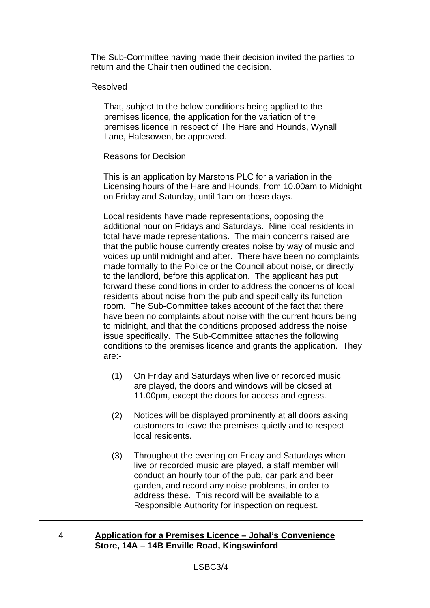The Sub-Committee having made their decision invited the parties to return and the Chair then outlined the decision.

### Resolved

That, subject to the below conditions being applied to the premises licence, the application for the variation of the premises licence in respect of The Hare and Hounds, Wynall Lane, Halesowen, be approved.

### Reasons for Decision

This is an application by Marstons PLC for a variation in the Licensing hours of the Hare and Hounds, from 10.00am to Midnight on Friday and Saturday, until 1am on those days.

Local residents have made representations, opposing the additional hour on Fridays and Saturdays. Nine local residents in total have made representations. The main concerns raised are that the public house currently creates noise by way of music and voices up until midnight and after. There have been no complaints made formally to the Police or the Council about noise, or directly to the landlord, before this application. The applicant has put forward these conditions in order to address the concerns of local residents about noise from the pub and specifically its function room. The Sub-Committee takes account of the fact that there have been no complaints about noise with the current hours being to midnight, and that the conditions proposed address the noise issue specifically. The Sub-Committee attaches the following conditions to the premises licence and grants the application. They are:-

- (1) On Friday and Saturdays when live or recorded music are played, the doors and windows will be closed at 11.00pm, except the doors for access and egress.
- (2) Notices will be displayed prominently at all doors asking customers to leave the premises quietly and to respect local residents.
- (3) Throughout the evening on Friday and Saturdays when live or recorded music are played, a staff member will conduct an hourly tour of the pub, car park and beer garden, and record any noise problems, in order to address these. This record will be available to a Responsible Authority for inspection on request.

## 4 **Application for a Premises Licence – Johal's Convenience Store, 14A – 14B Enville Road, Kingswinford**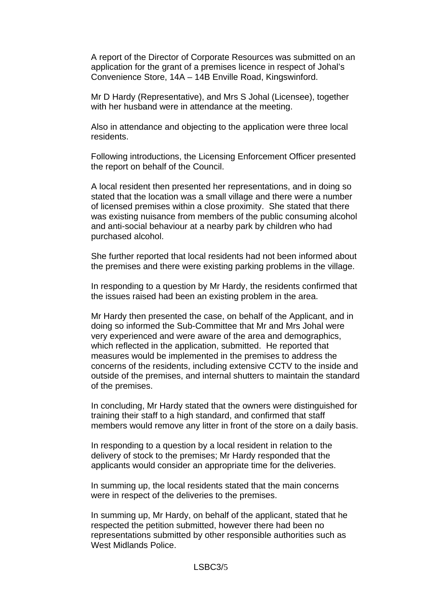A report of the Director of Corporate Resources was submitted on an application for the grant of a premises licence in respect of Johal's Convenience Store, 14A – 14B Enville Road, Kingswinford.

 Mr D Hardy (Representative), and Mrs S Johal (Licensee), together with her husband were in attendance at the meeting.

Also in attendance and objecting to the application were three local residents.

Following introductions, the Licensing Enforcement Officer presented the report on behalf of the Council.

A local resident then presented her representations, and in doing so stated that the location was a small village and there were a number of licensed premises within a close proximity. She stated that there was existing nuisance from members of the public consuming alcohol and anti-social behaviour at a nearby park by children who had purchased alcohol.

She further reported that local residents had not been informed about the premises and there were existing parking problems in the village.

In responding to a question by Mr Hardy, the residents confirmed that the issues raised had been an existing problem in the area.

Mr Hardy then presented the case, on behalf of the Applicant, and in doing so informed the Sub-Committee that Mr and Mrs Johal were very experienced and were aware of the area and demographics, which reflected in the application, submitted. He reported that measures would be implemented in the premises to address the concerns of the residents, including extensive CCTV to the inside and outside of the premises, and internal shutters to maintain the standard of the premises.

In concluding, Mr Hardy stated that the owners were distinguished for training their staff to a high standard, and confirmed that staff members would remove any litter in front of the store on a daily basis.

In responding to a question by a local resident in relation to the delivery of stock to the premises; Mr Hardy responded that the applicants would consider an appropriate time for the deliveries.

In summing up, the local residents stated that the main concerns were in respect of the deliveries to the premises.

In summing up, Mr Hardy, on behalf of the applicant, stated that he respected the petition submitted, however there had been no representations submitted by other responsible authorities such as West Midlands Police.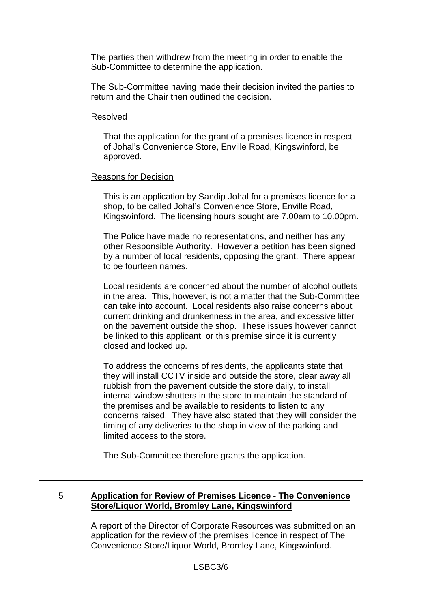The parties then withdrew from the meeting in order to enable the Sub-Committee to determine the application.

The Sub-Committee having made their decision invited the parties to return and the Chair then outlined the decision.

#### Resolved

That the application for the grant of a premises licence in respect of Johal's Convenience Store, Enville Road, Kingswinford, be approved.

#### Reasons for Decision

This is an application by Sandip Johal for a premises licence for a shop, to be called Johal's Convenience Store, Enville Road, Kingswinford. The licensing hours sought are 7.00am to 10.00pm.

The Police have made no representations, and neither has any other Responsible Authority. However a petition has been signed by a number of local residents, opposing the grant. There appear to be fourteen names.

Local residents are concerned about the number of alcohol outlets in the area. This, however, is not a matter that the Sub-Committee can take into account. Local residents also raise concerns about current drinking and drunkenness in the area, and excessive litter on the pavement outside the shop. These issues however cannot be linked to this applicant, or this premise since it is currently closed and locked up.

To address the concerns of residents, the applicants state that they will install CCTV inside and outside the store, clear away all rubbish from the pavement outside the store daily, to install internal window shutters in the store to maintain the standard of the premises and be available to residents to listen to any concerns raised. They have also stated that they will consider the timing of any deliveries to the shop in view of the parking and limited access to the store.

The Sub-Committee therefore grants the application.

# 5 **Application for Review of Premises Licence - The Convenience Store/Liquor World, Bromley Lane, Kingswinford**

A report of the Director of Corporate Resources was submitted on an application for the review of the premises licence in respect of The Convenience Store/Liquor World, Bromley Lane, Kingswinford.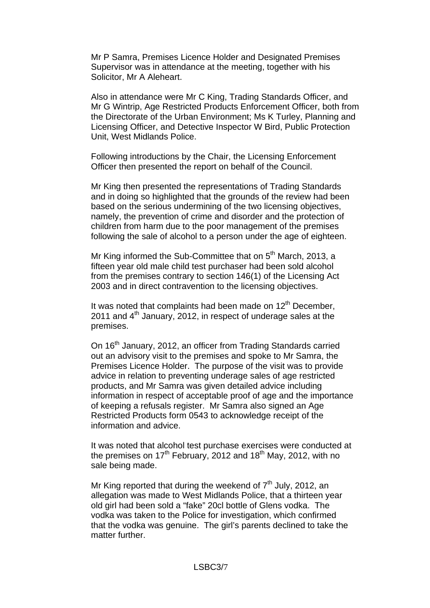Mr P Samra, Premises Licence Holder and Designated Premises Supervisor was in attendance at the meeting, together with his Solicitor, Mr A Aleheart.

Also in attendance were Mr C King, Trading Standards Officer, and Mr G Wintrip, Age Restricted Products Enforcement Officer, both from the Directorate of the Urban Environment; Ms K Turley, Planning and Licensing Officer, and Detective Inspector W Bird, Public Protection Unit, West Midlands Police.

Following introductions by the Chair, the Licensing Enforcement Officer then presented the report on behalf of the Council.

Mr King then presented the representations of Trading Standards and in doing so highlighted that the grounds of the review had been based on the serious undermining of the two licensing objectives, namely, the prevention of crime and disorder and the protection of children from harm due to the poor management of the premises following the sale of alcohol to a person under the age of eighteen.

Mr King informed the Sub-Committee that on 5<sup>th</sup> March, 2013, a fifteen year old male child test purchaser had been sold alcohol from the premises contrary to section 146(1) of the Licensing Act 2003 and in direct contravention to the licensing objectives.

It was noted that complaints had been made on  $12<sup>th</sup>$  December. 2011 and  $4<sup>th</sup>$  January, 2012, in respect of underage sales at the premises.

On 16<sup>th</sup> January, 2012, an officer from Trading Standards carried out an advisory visit to the premises and spoke to Mr Samra, the Premises Licence Holder. The purpose of the visit was to provide advice in relation to preventing underage sales of age restricted products, and Mr Samra was given detailed advice including information in respect of acceptable proof of age and the importance of keeping a refusals register. Mr Samra also signed an Age Restricted Products form 0543 to acknowledge receipt of the information and advice.

It was noted that alcohol test purchase exercises were conducted at the premises on  $17<sup>th</sup>$  February, 2012 and  $18<sup>th</sup>$  May, 2012, with no sale being made.

Mr King reported that during the weekend of  $7<sup>th</sup>$  July, 2012, an allegation was made to West Midlands Police, that a thirteen year old girl had been sold a "fake" 20cl bottle of Glens vodka. The vodka was taken to the Police for investigation, which confirmed that the vodka was genuine. The girl's parents declined to take the matter further.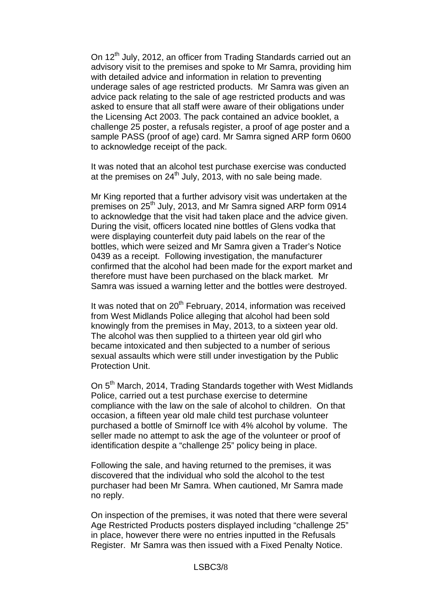On 12<sup>th</sup> July, 2012, an officer from Trading Standards carried out an advisory visit to the premises and spoke to Mr Samra, providing him with detailed advice and information in relation to preventing underage sales of age restricted products. Mr Samra was given an advice pack relating to the sale of age restricted products and was asked to ensure that all staff were aware of their obligations under the Licensing Act 2003. The pack contained an advice booklet, a challenge 25 poster, a refusals register, a proof of age poster and a sample PASS (proof of age) card. Mr Samra signed ARP form 0600 to acknowledge receipt of the pack.

It was noted that an alcohol test purchase exercise was conducted at the premises on  $24<sup>th</sup>$  July, 2013, with no sale being made.

Mr King reported that a further advisory visit was undertaken at the premises on 25<sup>th</sup> July, 2013, and Mr Samra signed ARP form 0914 to acknowledge that the visit had taken place and the advice given. During the visit, officers located nine bottles of Glens vodka that were displaying counterfeit duty paid labels on the rear of the bottles, which were seized and Mr Samra given a Trader's Notice 0439 as a receipt. Following investigation, the manufacturer confirmed that the alcohol had been made for the export market and therefore must have been purchased on the black market. Mr Samra was issued a warning letter and the bottles were destroyed.

It was noted that on  $20<sup>th</sup>$  February, 2014, information was received from West Midlands Police alleging that alcohol had been sold knowingly from the premises in May, 2013, to a sixteen year old. The alcohol was then supplied to a thirteen year old girl who became intoxicated and then subjected to a number of serious sexual assaults which were still under investigation by the Public Protection Unit.

On 5<sup>th</sup> March, 2014, Trading Standards together with West Midlands Police, carried out a test purchase exercise to determine compliance with the law on the sale of alcohol to children. On that occasion, a fifteen year old male child test purchase volunteer purchased a bottle of Smirnoff Ice with 4% alcohol by volume. The seller made no attempt to ask the age of the volunteer or proof of identification despite a "challenge 25" policy being in place.

Following the sale, and having returned to the premises, it was discovered that the individual who sold the alcohol to the test purchaser had been Mr Samra. When cautioned, Mr Samra made no reply.

On inspection of the premises, it was noted that there were several Age Restricted Products posters displayed including "challenge 25" in place, however there were no entries inputted in the Refusals Register. Mr Samra was then issued with a Fixed Penalty Notice.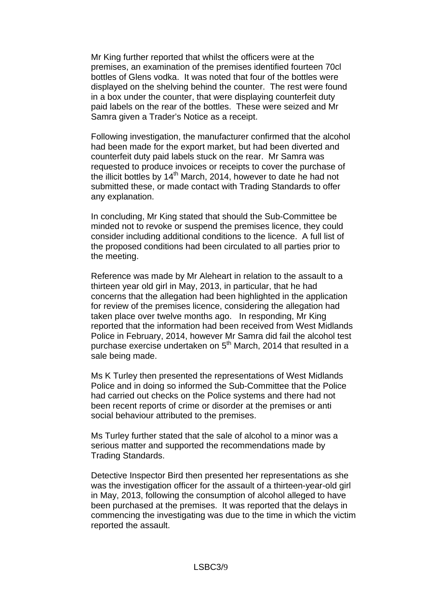Mr King further reported that whilst the officers were at the premises, an examination of the premises identified fourteen 70cl bottles of Glens vodka. It was noted that four of the bottles were displayed on the shelving behind the counter. The rest were found in a box under the counter, that were displaying counterfeit duty paid labels on the rear of the bottles. These were seized and Mr Samra given a Trader's Notice as a receipt.

Following investigation, the manufacturer confirmed that the alcohol had been made for the export market, but had been diverted and counterfeit duty paid labels stuck on the rear. Mr Samra was requested to produce invoices or receipts to cover the purchase of the illicit bottles by 14<sup>th</sup> March, 2014, however to date he had not submitted these, or made contact with Trading Standards to offer any explanation.

In concluding, Mr King stated that should the Sub-Committee be minded not to revoke or suspend the premises licence, they could consider including additional conditions to the licence. A full list of the proposed conditions had been circulated to all parties prior to the meeting.

Reference was made by Mr Aleheart in relation to the assault to a thirteen year old girl in May, 2013, in particular, that he had concerns that the allegation had been highlighted in the application for review of the premises licence, considering the allegation had taken place over twelve months ago. In responding, Mr King reported that the information had been received from West Midlands Police in February, 2014, however Mr Samra did fail the alcohol test purchase exercise undertaken on 5<sup>th</sup> March, 2014 that resulted in a sale being made.

Ms K Turley then presented the representations of West Midlands Police and in doing so informed the Sub-Committee that the Police had carried out checks on the Police systems and there had not been recent reports of crime or disorder at the premises or anti social behaviour attributed to the premises.

Ms Turley further stated that the sale of alcohol to a minor was a serious matter and supported the recommendations made by Trading Standards.

Detective Inspector Bird then presented her representations as she was the investigation officer for the assault of a thirteen-year-old girl in May, 2013, following the consumption of alcohol alleged to have been purchased at the premises. It was reported that the delays in commencing the investigating was due to the time in which the victim reported the assault.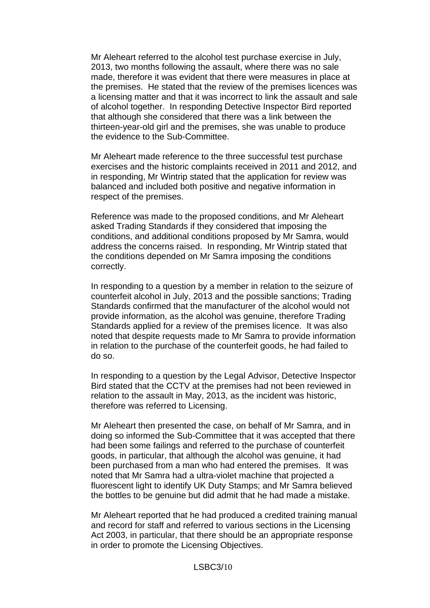Mr Aleheart referred to the alcohol test purchase exercise in July, 2013, two months following the assault, where there was no sale made, therefore it was evident that there were measures in place at the premises. He stated that the review of the premises licences was a licensing matter and that it was incorrect to link the assault and sale of alcohol together. In responding Detective Inspector Bird reported that although she considered that there was a link between the thirteen-year-old girl and the premises, she was unable to produce the evidence to the Sub-Committee.

Mr Aleheart made reference to the three successful test purchase exercises and the historic complaints received in 2011 and 2012, and in responding, Mr Wintrip stated that the application for review was balanced and included both positive and negative information in respect of the premises.

Reference was made to the proposed conditions, and Mr Aleheart asked Trading Standards if they considered that imposing the conditions, and additional conditions proposed by Mr Samra, would address the concerns raised. In responding, Mr Wintrip stated that the conditions depended on Mr Samra imposing the conditions correctly.

In responding to a question by a member in relation to the seizure of counterfeit alcohol in July, 2013 and the possible sanctions; Trading Standards confirmed that the manufacturer of the alcohol would not provide information, as the alcohol was genuine, therefore Trading Standards applied for a review of the premises licence. It was also noted that despite requests made to Mr Samra to provide information in relation to the purchase of the counterfeit goods, he had failed to do so.

In responding to a question by the Legal Advisor, Detective Inspector Bird stated that the CCTV at the premises had not been reviewed in relation to the assault in May, 2013, as the incident was historic, therefore was referred to Licensing.

Mr Aleheart then presented the case, on behalf of Mr Samra, and in doing so informed the Sub-Committee that it was accepted that there had been some failings and referred to the purchase of counterfeit goods, in particular, that although the alcohol was genuine, it had been purchased from a man who had entered the premises. It was noted that Mr Samra had a ultra-violet machine that projected a fluorescent light to identify UK Duty Stamps; and Mr Samra believed the bottles to be genuine but did admit that he had made a mistake.

Mr Aleheart reported that he had produced a credited training manual and record for staff and referred to various sections in the Licensing Act 2003, in particular, that there should be an appropriate response in order to promote the Licensing Objectives.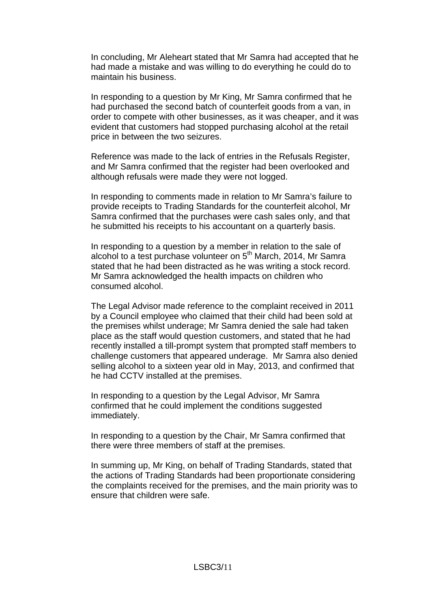In concluding, Mr Aleheart stated that Mr Samra had accepted that he had made a mistake and was willing to do everything he could do to maintain his business.

In responding to a question by Mr King, Mr Samra confirmed that he had purchased the second batch of counterfeit goods from a van, in order to compete with other businesses, as it was cheaper, and it was evident that customers had stopped purchasing alcohol at the retail price in between the two seizures.

Reference was made to the lack of entries in the Refusals Register, and Mr Samra confirmed that the register had been overlooked and although refusals were made they were not logged.

In responding to comments made in relation to Mr Samra's failure to provide receipts to Trading Standards for the counterfeit alcohol, Mr Samra confirmed that the purchases were cash sales only, and that he submitted his receipts to his accountant on a quarterly basis.

In responding to a question by a member in relation to the sale of alcohol to a test purchase volunteer on  $5<sup>th</sup>$  March, 2014, Mr Samra stated that he had been distracted as he was writing a stock record. Mr Samra acknowledged the health impacts on children who consumed alcohol.

The Legal Advisor made reference to the complaint received in 2011 by a Council employee who claimed that their child had been sold at the premises whilst underage; Mr Samra denied the sale had taken place as the staff would question customers, and stated that he had recently installed a till-prompt system that prompted staff members to challenge customers that appeared underage. Mr Samra also denied selling alcohol to a sixteen year old in May, 2013, and confirmed that he had CCTV installed at the premises.

In responding to a question by the Legal Advisor, Mr Samra confirmed that he could implement the conditions suggested immediately.

In responding to a question by the Chair, Mr Samra confirmed that there were three members of staff at the premises.

In summing up, Mr King, on behalf of Trading Standards, stated that the actions of Trading Standards had been proportionate considering the complaints received for the premises, and the main priority was to ensure that children were safe.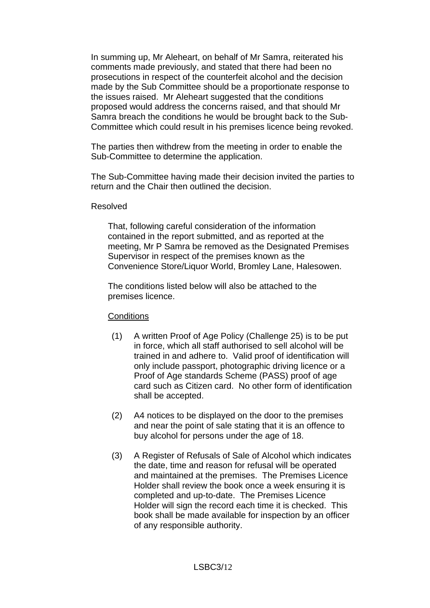In summing up, Mr Aleheart, on behalf of Mr Samra, reiterated his comments made previously, and stated that there had been no prosecutions in respect of the counterfeit alcohol and the decision made by the Sub Committee should be a proportionate response to the issues raised. Mr Aleheart suggested that the conditions proposed would address the concerns raised, and that should Mr Samra breach the conditions he would be brought back to the Sub-Committee which could result in his premises licence being revoked.

The parties then withdrew from the meeting in order to enable the Sub-Committee to determine the application.

The Sub-Committee having made their decision invited the parties to return and the Chair then outlined the decision.

#### Resolved

That, following careful consideration of the information contained in the report submitted, and as reported at the meeting, Mr P Samra be removed as the Designated Premises Supervisor in respect of the premises known as the Convenience Store/Liquor World, Bromley Lane, Halesowen.

The conditions listed below will also be attached to the premises licence.

### **Conditions**

- (1) A written Proof of Age Policy (Challenge 25) is to be put in force, which all staff authorised to sell alcohol will be trained in and adhere to. Valid proof of identification will only include passport, photographic driving licence or a Proof of Age standards Scheme (PASS) proof of age card such as Citizen card. No other form of identification shall be accepted.
- (2) A4 notices to be displayed on the door to the premises and near the point of sale stating that it is an offence to buy alcohol for persons under the age of 18.
- (3) A Register of Refusals of Sale of Alcohol which indicates the date, time and reason for refusal will be operated and maintained at the premises. The Premises Licence Holder shall review the book once a week ensuring it is completed and up-to-date. The Premises Licence Holder will sign the record each time it is checked. This book shall be made available for inspection by an officer of any responsible authority.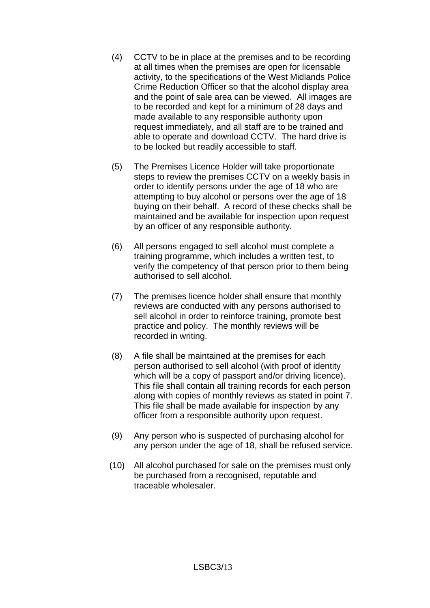- (4) CCTV to be in place at the premises and to be recording at all times when the premises are open for licensable activity, to the specifications of the West Midlands Police Crime Reduction Officer so that the alcohol display area and the point of sale area can be viewed. All images are to be recorded and kept for a minimum of 28 days and made available to any responsible authority upon request immediately, and all staff are to be trained and able to operate and download CCTV. The hard drive is to be locked but readily accessible to staff.
- (5) The Premises Licence Holder will take proportionate steps to review the premises CCTV on a weekly basis in order to identify persons under the age of 18 who are attempting to buy alcohol or persons over the age of 18 buying on their behalf. A record of these checks shall be maintained and be available for inspection upon request by an officer of any responsible authority.
- (6) All persons engaged to sell alcohol must complete a training programme, which includes a written test, to verify the competency of that person prior to them being authorised to sell alcohol.
- (7) The premises licence holder shall ensure that monthly reviews are conducted with any persons authorised to sell alcohol in order to reinforce training, promote best practice and policy. The monthly reviews will be recorded in writing.
- (8) A file shall be maintained at the premises for each person authorised to sell alcohol (with proof of identity which will be a copy of passport and/or driving licence). This file shall contain all training records for each person along with copies of monthly reviews as stated in point 7. This file shall be made available for inspection by any officer from a responsible authority upon request.
- (9) Any person who is suspected of purchasing alcohol for any person under the age of 18, shall be refused service.
- (10) All alcohol purchased for sale on the premises must only be purchased from a recognised, reputable and traceable wholesaler.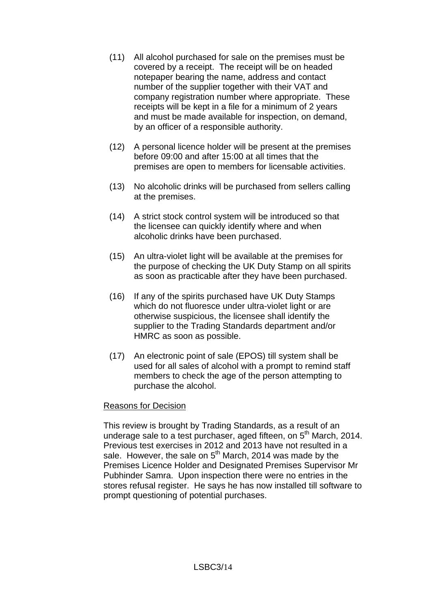- (11) All alcohol purchased for sale on the premises must be covered by a receipt. The receipt will be on headed notepaper bearing the name, address and contact number of the supplier together with their VAT and company registration number where appropriate. These receipts will be kept in a file for a minimum of 2 years and must be made available for inspection, on demand, by an officer of a responsible authority.
- (12) A personal licence holder will be present at the premises before 09:00 and after 15:00 at all times that the premises are open to members for licensable activities.
- (13) No alcoholic drinks will be purchased from sellers calling at the premises.
- (14) A strict stock control system will be introduced so that the licensee can quickly identify where and when alcoholic drinks have been purchased.
- (15) An ultra-violet light will be available at the premises for the purpose of checking the UK Duty Stamp on all spirits as soon as practicable after they have been purchased.
- (16) If any of the spirits purchased have UK Duty Stamps which do not fluoresce under ultra-violet light or are otherwise suspicious, the licensee shall identify the supplier to the Trading Standards department and/or HMRC as soon as possible.
- (17) An electronic point of sale (EPOS) till system shall be used for all sales of alcohol with a prompt to remind staff members to check the age of the person attempting to purchase the alcohol.

### Reasons for Decision

This review is brought by Trading Standards, as a result of an underage sale to a test purchaser, aged fifteen, on 5<sup>th</sup> March, 2014. Previous test exercises in 2012 and 2013 have not resulted in a sale. However, the sale on  $5<sup>th</sup>$  March, 2014 was made by the Premises Licence Holder and Designated Premises Supervisor Mr Pubhinder Samra. Upon inspection there were no entries in the stores refusal register. He says he has now installed till software to prompt questioning of potential purchases.